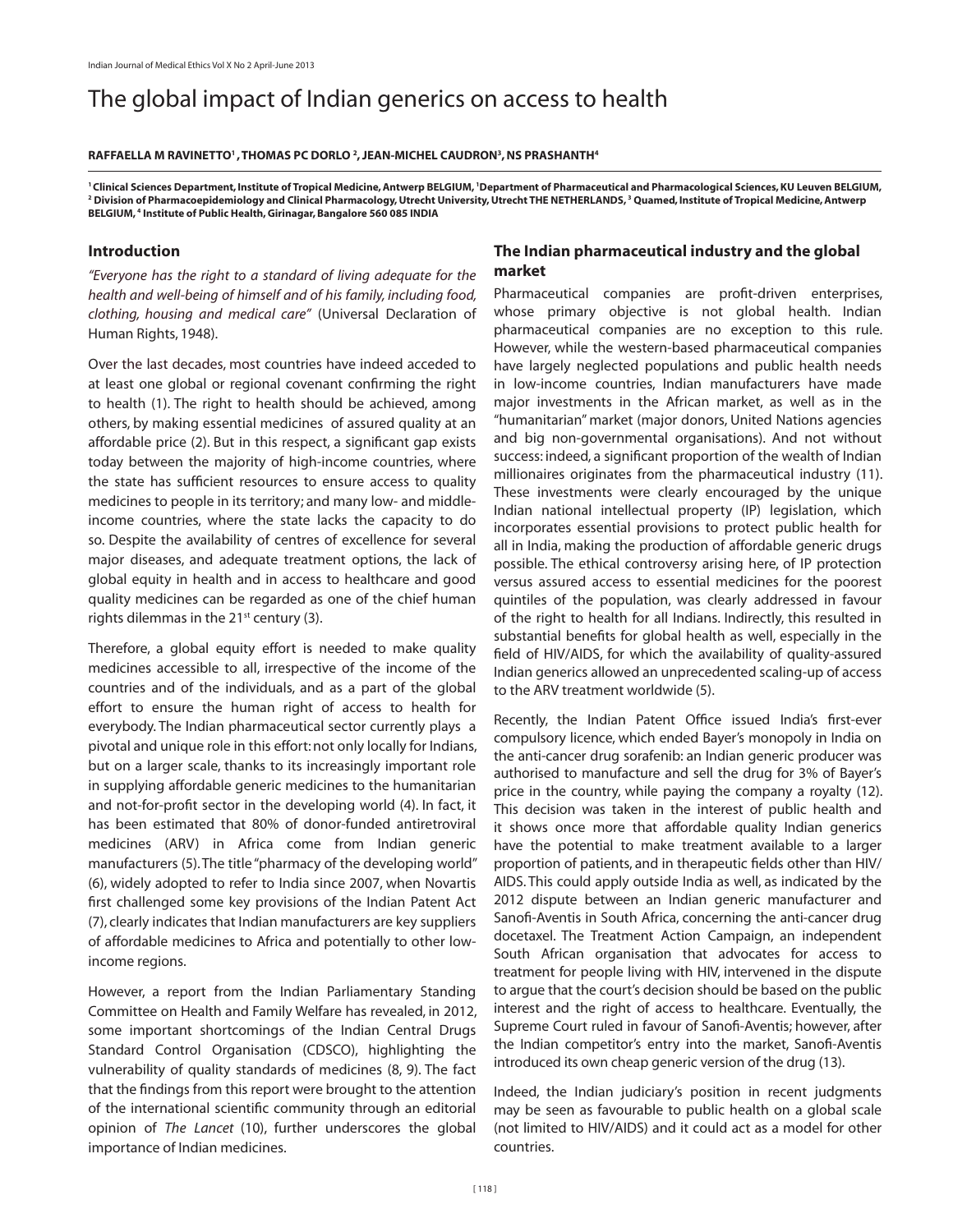# The global impact of Indian generics on access to health

#### **Raffaella M Ravinetto1 , Thomas PC Dorlo 2 , Jean-Michel Caudron3 , NS Prashanth4**

<sup>1</sup> Clinical Sciences Department, Institute of Tropical Medicine, Antwerp BELGIUM, 'Department of Pharmaceutical and Pharmacological Sciences, KU Leuven BELGIUM,<br><sup>2</sup> Division of Pharmacoepidemiology and Clinical Pharmacolo Division of Pharmacoepidemiology and Clinical Pharmacology, Utrecht University, Utrecht THE NETHERLANDS,<sup>3</sup> Quamed, Institute of Tropical Medicine, Antwerp **BELGIUM, 4 Institute of Public Health, Girinagar, Bangalore 560 085 INDIA**

### **Introduction**

*"Everyone has the right to a standard of living adequate for the health and well-being of himself and of his family, including food, clothing, housing and medical care"* (Universal Declaration of Human Rights, 1948).

Over the last decades, most countries have indeed acceded to at least one global or regional covenant confirming the right to health (1). The right to health should be achieved, among others, by making essential medicines of assured quality at an affordable price (2). But in this respect, a significant gap exists today between the majority of high-income countries, where the state has sufficient resources to ensure access to quality medicines to people in its territory; and many low- and middleincome countries, where the state lacks the capacity to do so. Despite the availability of centres of excellence for several major diseases, and adequate treatment options, the lack of global equity in health and in access to healthcare and good quality medicines can be regarded as one of the chief human rights dilemmas in the  $21^{st}$  century (3).

Therefore, a global equity effort is needed to make quality medicines accessible to all, irrespective of the income of the countries and of the individuals, and as a part of the global effort to ensure the human right of access to health for everybody. The Indian pharmaceutical sector currently plays a pivotal and unique role in this effort: not only locally for Indians, but on a larger scale, thanks to its increasingly important role in supplying affordable generic medicines to the humanitarian and not-for-profit sector in the developing world (4). In fact, it has been estimated that 80% of donor-funded antiretroviral medicines (ARV) in Africa come from Indian generic manufacturers (5). The title "pharmacy of the developing world" (6), widely adopted to refer to India since 2007, when Novartis first challenged some key provisions of the Indian Patent Act (7), clearly indicates that Indian manufacturers are key suppliers of affordable medicines to Africa and potentially to other lowincome regions.

However, a report from the Indian Parliamentary Standing Committee on Health and Family Welfare has revealed, in 2012, some important shortcomings of the Indian Central Drugs Standard Control Organisation (CDSCO), highlighting the vulnerability of quality standards of medicines (8, 9). The fact that the findings from this report were brought to the attention of the international scientific community through an editorial opinion of *The Lancet* (10), further underscores the global importance of Indian medicines.

# **The Indian pharmaceutical industry and the global market**

Pharmaceutical companies are profit-driven enterprises, whose primary objective is not global health. Indian pharmaceutical companies are no exception to this rule. However, while the western-based pharmaceutical companies have largely neglected populations and public health needs in low-income countries, Indian manufacturers have made major investments in the African market, as well as in the "humanitarian" market (major donors, United Nations agencies and big non-governmental organisations). And not without success: indeed, a significant proportion of the wealth of Indian millionaires originates from the pharmaceutical industry (11). These investments were clearly encouraged by the unique Indian national intellectual property (IP) legislation, which incorporates essential provisions to protect public health for all in India, making the production of affordable generic drugs possible. The ethical controversy arising here, of IP protection versus assured access to essential medicines for the poorest quintiles of the population, was clearly addressed in favour of the right to health for all Indians. Indirectly, this resulted in substantial benefits for global health as well, especially in the field of HIV/AIDS, for which the availability of quality-assured Indian generics allowed an unprecedented scaling-up of access to the ARV treatment worldwide (5).

Recently, the Indian Patent Office issued India's first-ever compulsory licence, which ended Bayer's monopoly in India on the anti-cancer drug sorafenib: an Indian generic producer was authorised to manufacture and sell the drug for 3% of Bayer's price in the country, while paying the company a royalty (12). This decision was taken in the interest of public health and it shows once more that affordable quality Indian generics have the potential to make treatment available to a larger proportion of patients, and in therapeutic fields other than HIV/ AIDS. This could apply outside India as well, as indicated by the 2012 dispute between an Indian generic manufacturer and Sanofi-Aventis in South Africa, concerning the anti-cancer drug docetaxel. The Treatment Action Campaign, an independent South African organisation that advocates for access to treatment for people living with HIV, intervened in the dispute to argue that the court's decision should be based on the public interest and the right of access to healthcare. Eventually, the Supreme Court ruled in favour of Sanofi-Aventis; however, after the Indian competitor's entry into the market, Sanofi-Aventis introduced its own cheap generic version of the drug (13).

Indeed, the Indian judiciary's position in recent judgments may be seen as favourable to public health on a global scale (not limited to HIV/AIDS) and it could act as a model for other countries.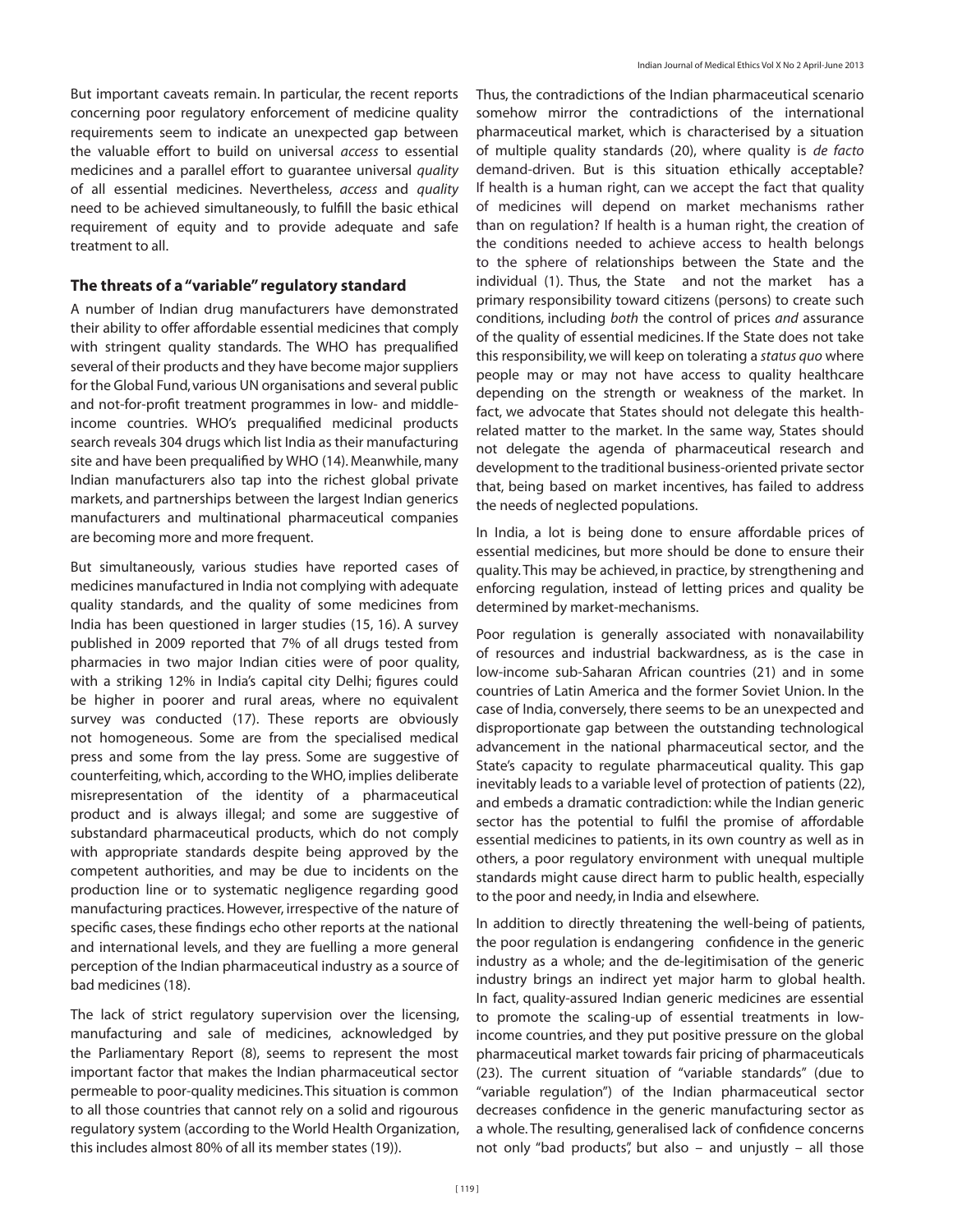But important caveats remain. In particular, the recent reports concerning poor regulatory enforcement of medicine quality requirements seem to indicate an unexpected gap between the valuable effort to build on universal *access* to essential medicines and a parallel effort to guarantee universal *quality*  of all essential medicines. Nevertheless, *access* and *quality* need to be achieved simultaneously, to fulfill the basic ethical requirement of equity and to provide adequate and safe treatment to all.

## **The threats of a "variable" regulatory standard**

A number of Indian drug manufacturers have demonstrated their ability to offer affordable essential medicines that comply with stringent quality standards. The WHO has prequalified several of their products and they have become major suppliers for the Global Fund, various UN organisations and several public and not-for-profit treatment programmes in low- and middleincome countries. WHO's prequalified medicinal products search reveals 304 drugs which list India as their manufacturing site and have been prequalified by WHO (14). Meanwhile, many Indian manufacturers also tap into the richest global private markets, and partnerships between the largest Indian generics manufacturers and multinational pharmaceutical companies are becoming more and more frequent.

But simultaneously, various studies have reported cases of medicines manufactured in India not complying with adequate quality standards, and the quality of some medicines from India has been questioned in larger studies (15, 16). A survey published in 2009 reported that 7% of all drugs tested from pharmacies in two major Indian cities were of poor quality, with a striking 12% in India's capital city Delhi; figures could be higher in poorer and rural areas, where no equivalent survey was conducted (17). These reports are obviously not homogeneous. Some are from the specialised medical press and some from the lay press. Some are suggestive of counterfeiting, which, according to the WHO, implies deliberate misrepresentation of the identity of a pharmaceutical product and is always illegal; and some are suggestive of substandard pharmaceutical products, which do not comply with appropriate standards despite being approved by the competent authorities, and may be due to incidents on the production line or to systematic negligence regarding good manufacturing practices. However, irrespective of the nature of specific cases, these findings echo other reports at the national and international levels, and they are fuelling a more general perception of the Indian pharmaceutical industry as a source of bad medicines (18).

The lack of strict regulatory supervision over the licensing, manufacturing and sale of medicines, acknowledged by the Parliamentary Report (8), seems to represent the most important factor that makes the Indian pharmaceutical sector permeable to poor-quality medicines. This situation is common to all those countries that cannot rely on a solid and rigourous regulatory system (according to the World Health Organization, this includes almost 80% of all its member states (19)).

Thus, the contradictions of the Indian pharmaceutical scenario somehow mirror the contradictions of the international pharmaceutical market, which is characterised by a situation of multiple quality standards (20), where quality is *de facto*  demand-driven. But is this situation ethically acceptable? If health is a human right, can we accept the fact that quality of medicines will depend on market mechanisms rather than on regulation? If health is a human right, the creation of the conditions needed to achieve access to health belongs to the sphere of relationships between the State and the individual (1). Thus, the State and not the market has a primary responsibility toward citizens (persons) to create such conditions, including *both* the control of prices *and* assurance of the quality of essential medicines. If the State does not take this responsibility, we will keep on tolerating a *status quo* where people may or may not have access to quality healthcare depending on the strength or weakness of the market. In fact, we advocate that States should not delegate this healthrelated matter to the market. In the same way, States should not delegate the agenda of pharmaceutical research and development to the traditional business-oriented private sector that, being based on market incentives, has failed to address the needs of neglected populations.

In India, a lot is being done to ensure affordable prices of essential medicines, but more should be done to ensure their quality. This may be achieved, in practice, by strengthening and enforcing regulation, instead of letting prices and quality be determined by market-mechanisms.

Poor regulation is generally associated with nonavailability of resources and industrial backwardness, as is the case in low-income sub-Saharan African countries (21) and in some countries of Latin America and the former Soviet Union. In the case of India, conversely, there seems to be an unexpected and disproportionate gap between the outstanding technological advancement in the national pharmaceutical sector, and the State's capacity to regulate pharmaceutical quality. This gap inevitably leads to a variable level of protection of patients (22), and embeds a dramatic contradiction: while the Indian generic sector has the potential to fulfil the promise of affordable essential medicines to patients, in its own country as well as in others, a poor regulatory environment with unequal multiple standards might cause direct harm to public health, especially to the poor and needy, in India and elsewhere.

In addition to directly threatening the well-being of patients, the poor regulation is endangering confidence in the generic industry as a whole; and the de-legitimisation of the generic industry brings an indirect yet major harm to global health. In fact, quality-assured Indian generic medicines are essential to promote the scaling-up of essential treatments in lowincome countries, and they put positive pressure on the global pharmaceutical market towards fair pricing of pharmaceuticals (23). The current situation of "variable standards" (due to "variable regulation") of the Indian pharmaceutical sector decreases confidence in the generic manufacturing sector as a whole. The resulting, generalised lack of confidence concerns not only "bad products", but also – and unjustly – all those